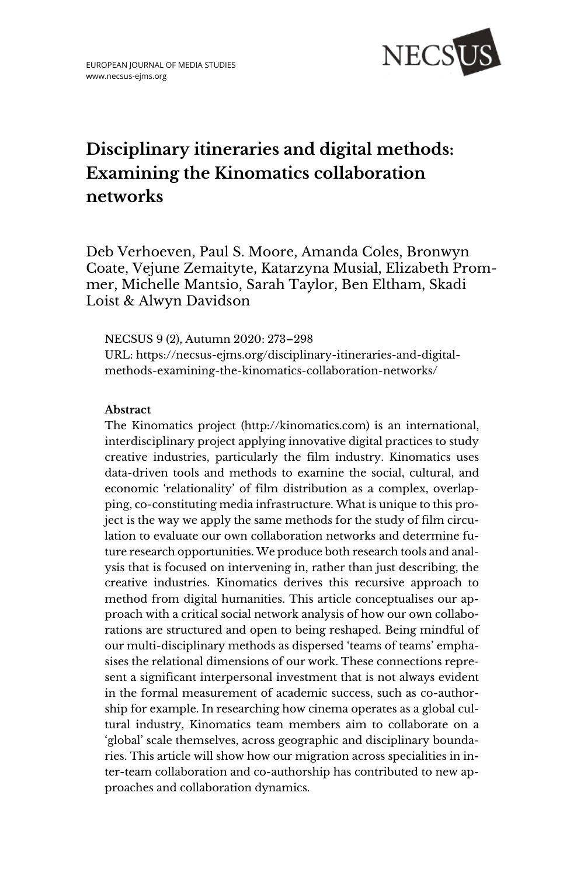

# **Disciplinary itineraries and digital methods: Examining the Kinomatics collaboration networks**

Deb Verhoeven, Paul S. Moore, Amanda Coles, Bronwyn Coate, Vejune Zemaityte, Katarzyna Musial, Elizabeth Prommer, Michelle Mantsio, Sarah Taylor, Ben Eltham, Skadi Loist & Alwyn Davidson

NECSUS 9 (2), Autumn 2020: 273–298 URL: [https://necsus-ejms.org/disciplinary-itineraries-and-digital](https://necsus-ejms.org/disciplinary-itineraries-and-digital-methods-examining-the-kinomatics-collaboration-networks/)[methods-examining-the-kinomatics-collaboration-networks/](https://necsus-ejms.org/disciplinary-itineraries-and-digital-methods-examining-the-kinomatics-collaboration-networks/)

### **Abstract**

The Kinomatics project [\(http://kinomatics.com\)](http://kinomatics.com/) is an international, interdisciplinary project applying innovative digital practices to study creative industries, particularly the film industry. Kinomatics uses data-driven tools and methods to examine the social, cultural, and economic 'relationality' of film distribution as a complex, overlapping, co-constituting media infrastructure. What is unique to this project is the way we apply the same methods for the study of film circulation to evaluate our own collaboration networks and determine future research opportunities. We produce both research tools and analysis that is focused on intervening in, rather than just describing, the creative industries. Kinomatics derives this recursive approach to method from digital humanities. This article conceptualises our approach with a critical social network analysis of how our own collaborations are structured and open to being reshaped. Being mindful of our multi-disciplinary methods as dispersed 'teams of teams' emphasises the relational dimensions of our work. These connections represent a significant interpersonal investment that is not always evident in the formal measurement of academic success, such as co-authorship for example. In researching how cinema operates as a global cultural industry, Kinomatics team members aim to collaborate on a 'global' scale themselves, across geographic and disciplinary boundaries. This article will show how our migration across specialities in inter-team collaboration and co-authorship has contributed to new approaches and collaboration dynamics.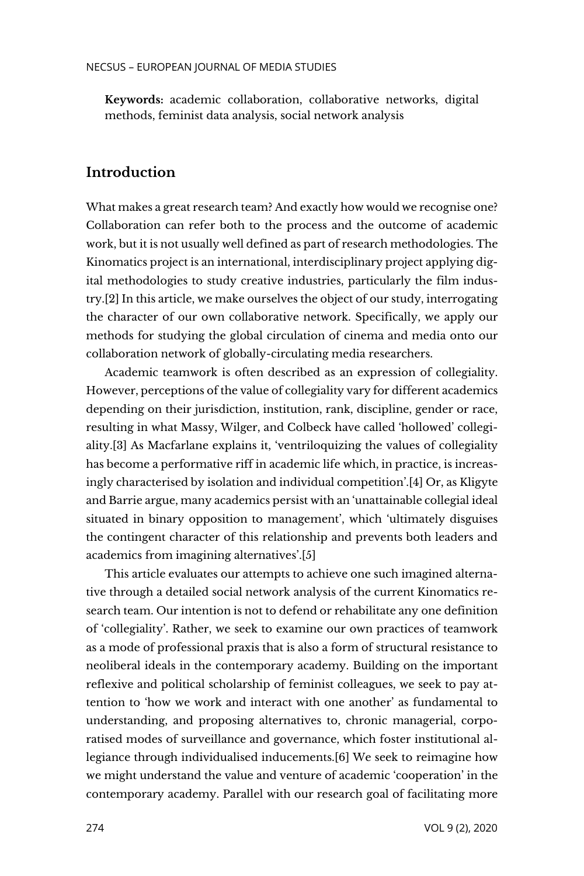**Keywords:** [academic collaboration,](https://necsus-ejms.org/tag/academic-collaboration/) [collaborative networks,](https://necsus-ejms.org/tag/collaborative-networks/) [digital](https://necsus-ejms.org/tag/digital-methods/)  [methods,](https://necsus-ejms.org/tag/digital-methods/) [feminist data analysis,](https://necsus-ejms.org/tag/feminist-data-analysis/) [social network analysis](https://necsus-ejms.org/tag/social-network-analysis/)

# **Introduction**

What makes a great research team? And exactly how would we recognise one? Collaboration can refer both to the process and the outcome of academic work, but it is not usually well defined as part of research methodologies. The Kinomatics project is an international, interdisciplinary project applying digital methodologies to study creative industries, particularly the film industry.[2] In this article, we make ourselves the object of our study, interrogating the character of our own collaborative network. Specifically, we apply our methods for studying the global circulation of cinema and media onto our collaboration network of globally-circulating media researchers.

Academic teamwork is often described as an expression of collegiality. However, perceptions of the value of collegiality vary for different academics depending on their jurisdiction, institution, rank, discipline, gender or race, resulting in what Massy, Wilger, and Colbeck have called 'hollowed' collegiality.[3] As Macfarlane explains it, 'ventriloquizing the values of collegiality has become a performative riff in academic life which, in practice, is increasingly characterised by isolation and individual competition'.[4] Or, as Kligyte and Barrie argue, many academics persist with an 'unattainable collegial ideal situated in binary opposition to management', which 'ultimately disguises the contingent character of this relationship and prevents both leaders and academics from imagining alternatives'.[5]

This article evaluates our attempts to achieve one such imagined alternative through a detailed social network analysis of the current Kinomatics research team. Our intention is not to defend or rehabilitate any one definition of 'collegiality'. Rather, we seek to examine our own practices of teamwork as a mode of professional praxis that is also a form of structural resistance to neoliberal ideals in the contemporary academy. Building on the important reflexive and political scholarship of feminist colleagues, we seek to pay attention to 'how we work and interact with one another' as fundamental to understanding, and proposing alternatives to, chronic managerial, corporatised modes of surveillance and governance, which foster institutional allegiance through individualised inducements.[6] We seek to reimagine how we might understand the value and venture of academic 'cooperation' in the contemporary academy. Parallel with our research goal of facilitating more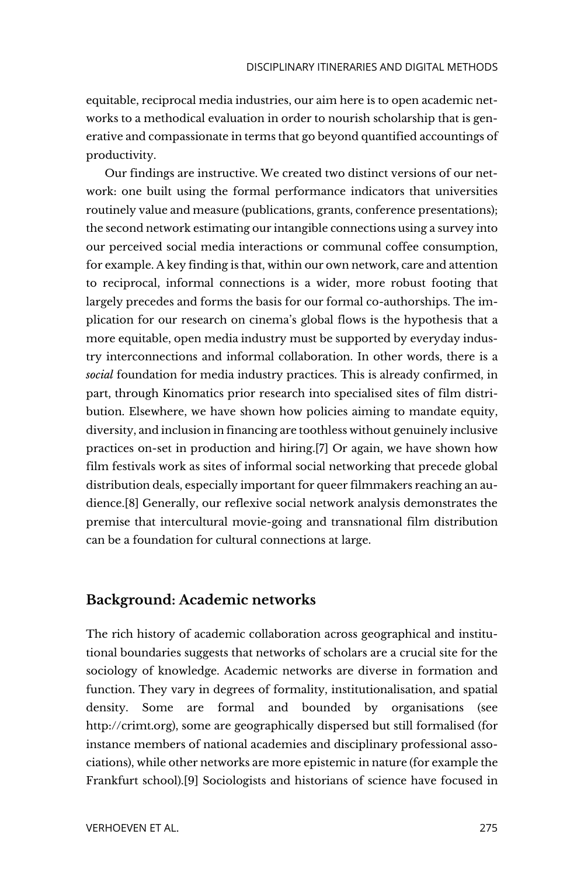equitable, reciprocal media industries, our aim here is to open academic networks to a methodical evaluation in order to nourish scholarship that is generative and compassionate in terms that go beyond quantified accountings of productivity.

Our findings are instructive. We created two distinct versions of our network: one built using the formal performance indicators that universities routinely value and measure (publications, grants, conference presentations); the second network estimating our intangible connections using a survey into our perceived social media interactions or communal coffee consumption, for example. A key finding is that, within our own network, care and attention to reciprocal, informal connections is a wider, more robust footing that largely precedes and forms the basis for our formal co-authorships. The implication for our research on cinema's global flows is the hypothesis that a more equitable, open media industry must be supported by everyday industry interconnections and informal collaboration. In other words, there is a *social* foundation for media industry practices. This is already confirmed, in part, through Kinomatics prior research into specialised sites of film distribution. Elsewhere, we have shown how policies aiming to mandate equity, diversity, and inclusion in financing are toothless without genuinely inclusive practices on-set in production and hiring.[7] Or again, we have shown how film festivals work as sites of informal social networking that precede global distribution deals, especially important for queer filmmakers reaching an audience.[8] Generally, our reflexive social network analysis demonstrates the premise that intercultural movie-going and transnational film distribution can be a foundation for cultural connections at large.

### **Background: Academic networks**

The rich history of academic collaboration across geographical and institutional boundaries suggests that networks of scholars are a crucial site for the sociology of knowledge. Academic networks are diverse in formation and function. They vary in degrees of formality, institutionalisation, and spatial density. Some are formal and bounded by organisations (see [http://crimt.org\)](http://crimt.org/), some are geographically dispersed but still formalised (for instance members of national academies and disciplinary professional associations), while other networks are more epistemic in nature (for example the Frankfurt school).[9] Sociologists and historians of science have focused in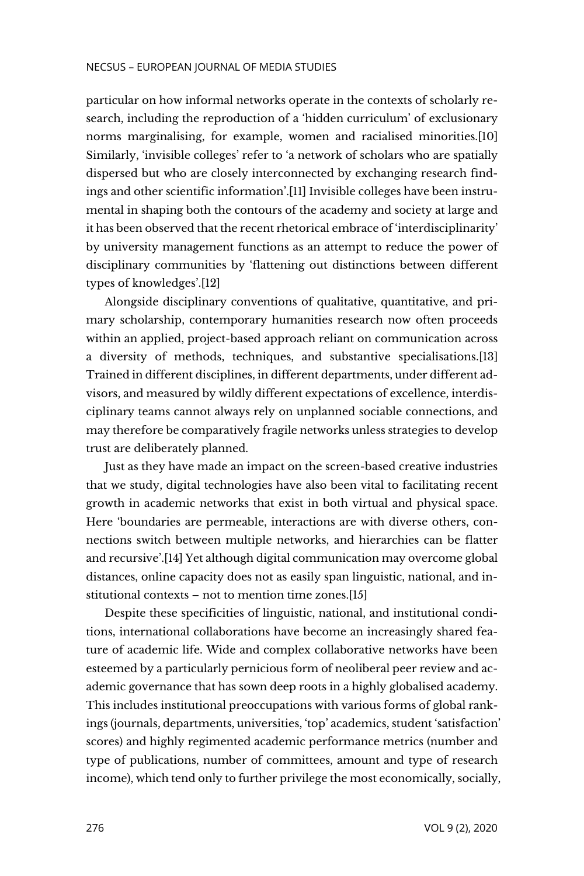particular on how informal networks operate in the contexts of scholarly research, including the reproduction of a 'hidden curriculum' of exclusionary norms marginalising, for example, women and racialised minorities.[10] Similarly, 'invisible colleges' refer to 'a network of scholars who are spatially dispersed but who are closely interconnected by exchanging research findings and other scientific information'.[11] Invisible colleges have been instrumental in shaping both the contours of the academy and society at large and it has been observed that the recent rhetorical embrace of 'interdisciplinarity' by university management functions as an attempt to reduce the power of disciplinary communities by 'flattening out distinctions between different types of knowledges'.[12]

Alongside disciplinary conventions of qualitative, quantitative, and primary scholarship, contemporary humanities research now often proceeds within an applied, project-based approach reliant on communication across a diversity of methods, techniques, and substantive specialisations.[13] Trained in different disciplines, in different departments, under different advisors, and measured by wildly different expectations of excellence, interdisciplinary teams cannot always rely on unplanned sociable connections, and may therefore be comparatively fragile networks unless strategies to develop trust are deliberately planned.

Just as they have made an impact on the screen-based creative industries that we study, digital technologies have also been vital to facilitating recent growth in academic networks that exist in both virtual and physical space. Here 'boundaries are permeable, interactions are with diverse others, connections switch between multiple networks, and hierarchies can be flatter and recursive'.[14] Yet although digital communication may overcome global distances, online capacity does not as easily span linguistic, national, and institutional contexts – not to mention time zones.[15]

Despite these specificities of linguistic, national, and institutional conditions, international collaborations have become an increasingly shared feature of academic life. Wide and complex collaborative networks have been esteemed by a particularly pernicious form of neoliberal peer review and academic governance that has sown deep roots in a highly globalised academy. This includes institutional preoccupations with various forms of global rankings (journals, departments, universities, 'top' academics, student 'satisfaction' scores) and highly regimented academic performance metrics (number and type of publications, number of committees, amount and type of research income), which tend only to further privilege the most economically, socially,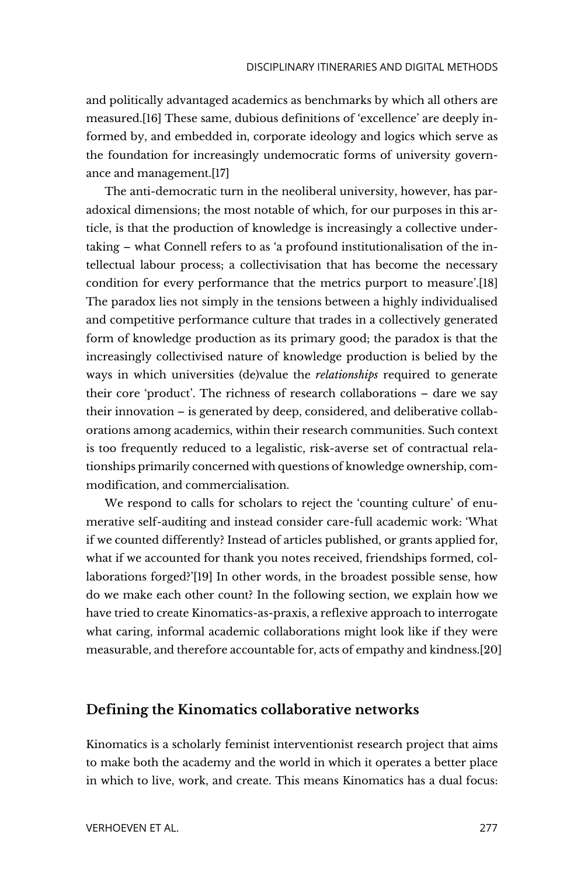and politically advantaged academics as benchmarks by which all others are measured.[16] These same, dubious definitions of 'excellence' are deeply informed by, and embedded in, corporate ideology and logics which serve as the foundation for increasingly undemocratic forms of university governance and management.[17]

The anti-democratic turn in the neoliberal university, however, has paradoxical dimensions; the most notable of which, for our purposes in this article, is that the production of knowledge is increasingly a collective undertaking – what Connell refers to as 'a profound institutionalisation of the intellectual labour process; a collectivisation that has become the necessary condition for every performance that the metrics purport to measure'.[18] The paradox lies not simply in the tensions between a highly individualised and competitive performance culture that trades in a collectively generated form of knowledge production as its primary good; the paradox is that the increasingly collectivised nature of knowledge production is belied by the ways in which universities (de)value the *relationships* required to generate their core 'product'. The richness of research collaborations – dare we say their innovation – is generated by deep, considered, and deliberative collaborations among academics, within their research communities. Such context is too frequently reduced to a legalistic, risk-averse set of contractual relationships primarily concerned with questions of knowledge ownership, commodification, and commercialisation.

We respond to calls for scholars to reject the 'counting culture' of enumerative self-auditing and instead consider care-full academic work: 'What if we counted differently? Instead of articles published, or grants applied for, what if we accounted for thank you notes received, friendships formed, collaborations forged?'[19] In other words, in the broadest possible sense, how do we make each other count? In the following section, we explain how we have tried to create Kinomatics-as-praxis, a reflexive approach to interrogate what caring, informal academic collaborations might look like if they were measurable, and therefore accountable for, acts of empathy and kindness.[20]

# **Defining the Kinomatics collaborative networks**

Kinomatics is a scholarly feminist interventionist research project that aims to make both the academy and the world in which it operates a better place in which to live, work, and create. This means Kinomatics has a dual focus: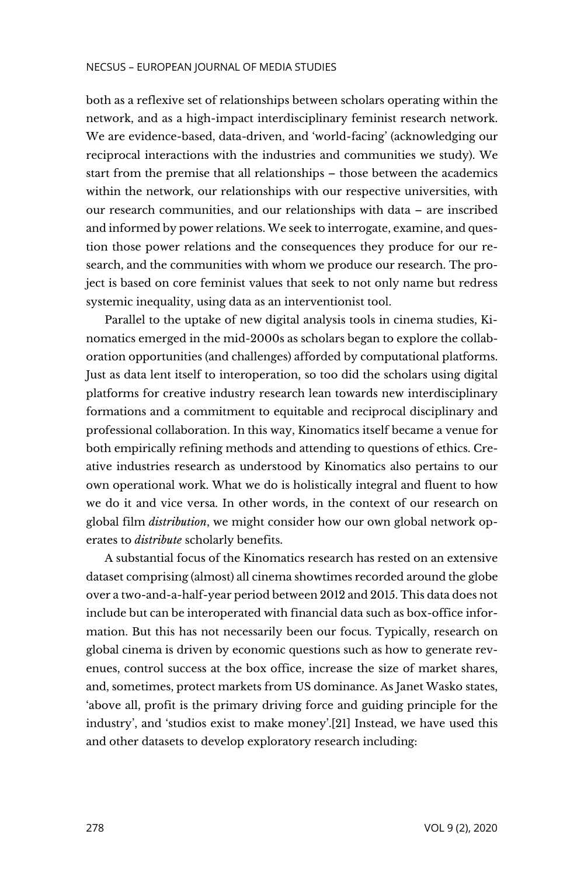both as a reflexive set of relationships between scholars operating within the network, and as a high-impact interdisciplinary feminist research network. We are evidence-based, data-driven, and 'world-facing' (acknowledging our reciprocal interactions with the industries and communities we study). We start from the premise that all relationships – those between the academics within the network, our relationships with our respective universities, with our research communities, and our relationships with data – are inscribed and informed by power relations. We seek to interrogate, examine, and question those power relations and the consequences they produce for our research, and the communities with whom we produce our research. The project is based on core feminist values that seek to not only name but redress systemic inequality, using data as an interventionist tool.

Parallel to the uptake of new digital analysis tools in cinema studies, Kinomatics emerged in the mid-2000s as scholars began to explore the collaboration opportunities (and challenges) afforded by computational platforms. Just as data lent itself to interoperation, so too did the scholars using digital platforms for creative industry research lean towards new interdisciplinary formations and a commitment to equitable and reciprocal disciplinary and professional collaboration. In this way, Kinomatics itself became a venue for both empirically refining methods and attending to questions of ethics. Creative industries research as understood by Kinomatics also pertains to our own operational work. What we do is holistically integral and fluent to how we do it and vice versa. In other words, in the context of our research on global film *distribution*, we might consider how our own global network operates to *distribute* scholarly benefits.

A substantial focus of the Kinomatics research has rested on an extensive dataset comprising (almost) all cinema showtimes recorded around the globe over a two-and-a-half-year period between 2012 and 2015. This data does not include but can be interoperated with financial data such as box-office information. But this has not necessarily been our focus. Typically, research on global cinema is driven by economic questions such as how to generate revenues, control success at the box office, increase the size of market shares, and, sometimes, protect markets from US dominance. As Janet Wasko states, 'above all, profit is the primary driving force and guiding principle for the industry', and 'studios exist to make money'.[21] Instead, we have used this and other datasets to develop exploratory research including: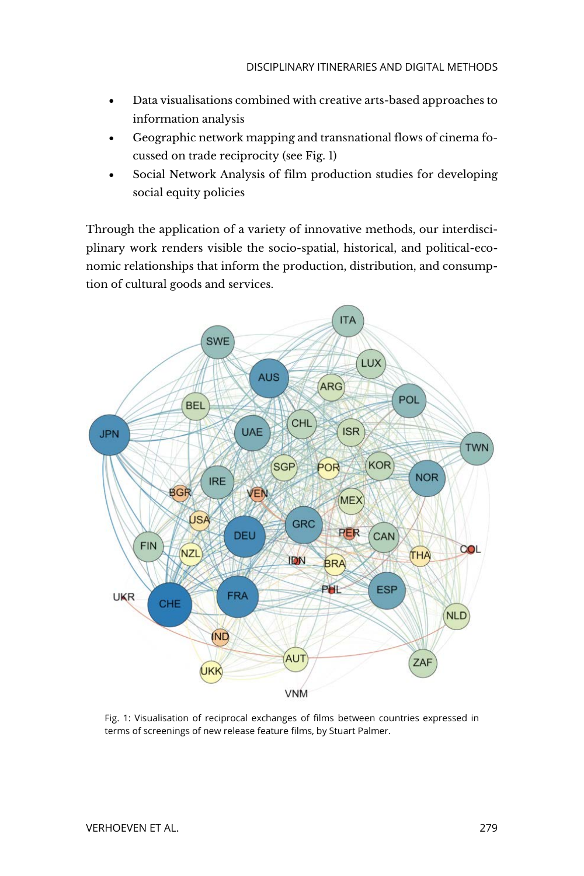- Data visualisations combined with creative arts-based approaches to information analysis
- Geographic network mapping and transnational flows of cinema focussed on trade reciprocity (see Fig. 1)
- Social Network Analysis of film production studies for developing social equity policies

Through the application of a variety of innovative methods, our interdisciplinary work renders visible the socio-spatial, historical, and political-economic relationships that inform the production, distribution, and consumption of cultural goods and services.



Fig. 1: Visualisation of reciprocal exchanges of films between countries expressed in terms of screenings of new release feature films, by Stuart Palmer.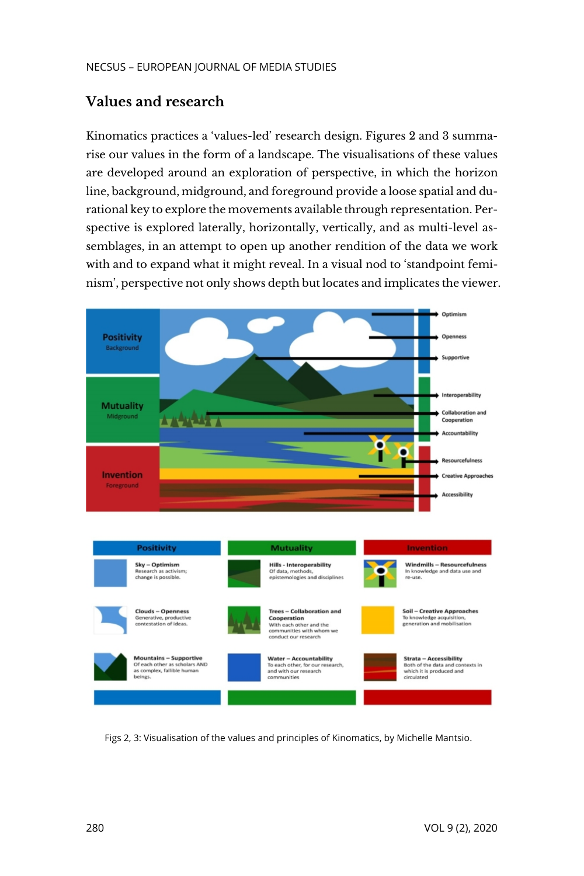# **Values and research**

Kinomatics practices a 'values-led' research design. Figures 2 and 3 summarise our values in the form of a landscape. The visualisations of these values are developed around an exploration of perspective, in which the horizon line, background, midground, and foreground provide a loose spatial and durational key to explore the movements available through representation. Perspective is explored laterally, horizontally, vertically, and as multi-level assemblages, in an attempt to open up another rendition of the data we work with and to expand what it might reveal. In a visual nod to 'standpoint feminism', perspective not only shows depth but locates and implicates the viewer.



Figs 2, 3: Visualisation of the values and principles of Kinomatics, by Michelle Mantsio.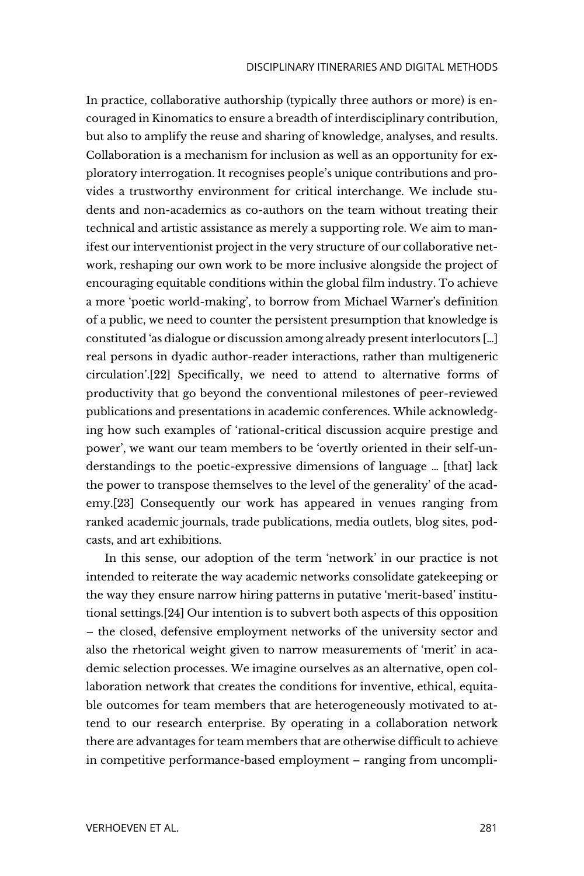In practice, collaborative authorship (typically three authors or more) is encouraged in Kinomatics to ensure a breadth of interdisciplinary contribution, but also to amplify the reuse and sharing of knowledge, analyses, and results. Collaboration is a mechanism for inclusion as well as an opportunity for exploratory interrogation. It recognises people's unique contributions and provides a trustworthy environment for critical interchange. We include students and non-academics as co-authors on the team without treating their technical and artistic assistance as merely a supporting role. We aim to manifest our interventionist project in the very structure of our collaborative network, reshaping our own work to be more inclusive alongside the project of encouraging equitable conditions within the global film industry. To achieve a more 'poetic world-making', to borrow from Michael Warner's definition of a public, we need to counter the persistent presumption that knowledge is constituted 'as dialogue or discussion among already present interlocutors […] real persons in dyadic author-reader interactions, rather than multigeneric circulation'.[22] Specifically, we need to attend to alternative forms of productivity that go beyond the conventional milestones of peer-reviewed publications and presentations in academic conferences. While acknowledging how such examples of 'rational-critical discussion acquire prestige and power', we want our team members to be 'overtly oriented in their self-understandings to the poetic-expressive dimensions of language … [that] lack the power to transpose themselves to the level of the generality' of the academy.[23] Consequently our work has appeared in venues ranging from ranked academic journals, trade publications, media outlets, blog sites, podcasts, and art exhibitions.

In this sense, our adoption of the term 'network' in our practice is not intended to reiterate the way academic networks consolidate gatekeeping or the way they ensure narrow hiring patterns in putative 'merit-based' institutional settings.[24] Our intention is to subvert both aspects of this opposition – the closed, defensive employment networks of the university sector and also the rhetorical weight given to narrow measurements of 'merit' in academic selection processes. We imagine ourselves as an alternative, open collaboration network that creates the conditions for inventive, ethical, equitable outcomes for team members that are heterogeneously motivated to attend to our research enterprise. By operating in a collaboration network there are advantages for team members that are otherwise difficult to achieve in competitive performance-based employment – ranging from uncompli-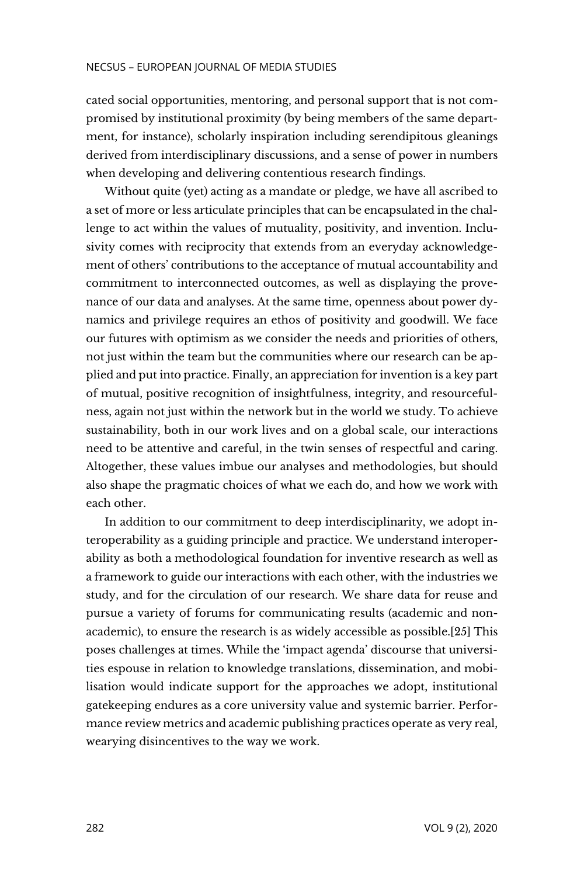cated social opportunities, mentoring, and personal support that is not compromised by institutional proximity (by being members of the same department, for instance), scholarly inspiration including serendipitous gleanings derived from interdisciplinary discussions, and a sense of power in numbers when developing and delivering contentious research findings.

Without quite (yet) acting as a mandate or pledge, we have all ascribed to a set of more or less articulate principles that can be encapsulated in the challenge to act within the values of mutuality, positivity, and invention. Inclusivity comes with reciprocity that extends from an everyday acknowledgement of others' contributions to the acceptance of mutual accountability and commitment to interconnected outcomes, as well as displaying the provenance of our data and analyses. At the same time, openness about power dynamics and privilege requires an ethos of positivity and goodwill. We face our futures with optimism as we consider the needs and priorities of others, not just within the team but the communities where our research can be applied and put into practice. Finally, an appreciation for invention is a key part of mutual, positive recognition of insightfulness, integrity, and resourcefulness, again not just within the network but in the world we study. To achieve sustainability, both in our work lives and on a global scale, our interactions need to be attentive and careful, in the twin senses of respectful and caring. Altogether, these values imbue our analyses and methodologies, but should also shape the pragmatic choices of what we each do, and how we work with each other.

In addition to our commitment to deep interdisciplinarity, we adopt interoperability as a guiding principle and practice. We understand interoperability as both a methodological foundation for inventive research as well as a framework to guide our interactions with each other, with the industries we study, and for the circulation of our research. We share data for reuse and pursue a variety of forums for communicating results (academic and nonacademic), to ensure the research is as widely accessible as possible.[25] This poses challenges at times. While the 'impact agenda' discourse that universities espouse in relation to knowledge translations, dissemination, and mobilisation would indicate support for the approaches we adopt, institutional gatekeeping endures as a core university value and systemic barrier. Performance review metrics and academic publishing practices operate as very real, wearying disincentives to the way we work.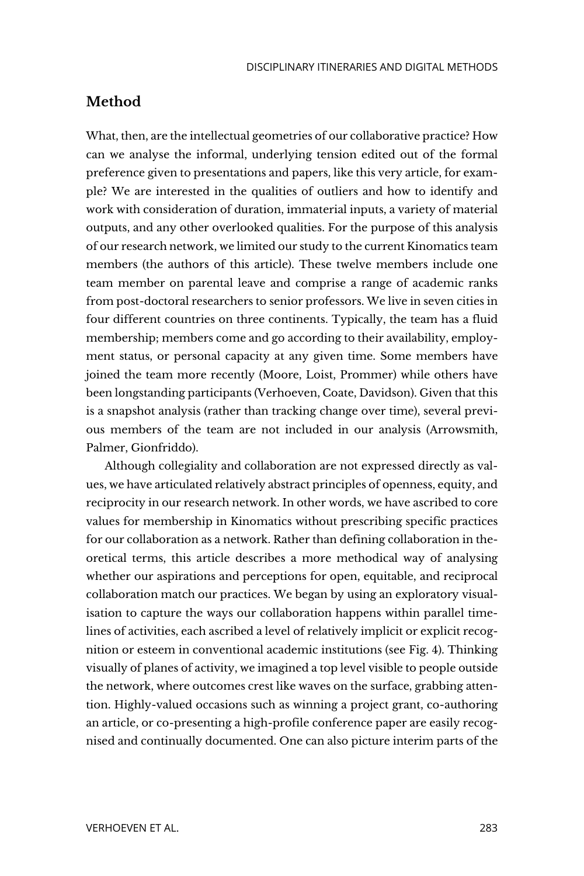# **Method**

What, then, are the intellectual geometries of our collaborative practice? How can we analyse the informal, underlying tension edited out of the formal preference given to presentations and papers, like this very article, for example? We are interested in the qualities of outliers and how to identify and work with consideration of duration, immaterial inputs, a variety of material outputs, and any other overlooked qualities. For the purpose of this analysis of our research network, we limited our study to the current Kinomatics team members (the authors of this article). These twelve members include one team member on parental leave and comprise a range of academic ranks from post-doctoral researchers to senior professors. We live in seven cities in four different countries on three continents. Typically, the team has a fluid membership; members come and go according to their availability, employment status, or personal capacity at any given time. Some members have joined the team more recently (Moore, Loist, Prommer) while others have been longstanding participants (Verhoeven, Coate, Davidson). Given that this is a snapshot analysis (rather than tracking change over time), several previous members of the team are not included in our analysis (Arrowsmith, Palmer, Gionfriddo).

Although collegiality and collaboration are not expressed directly as values, we have articulated relatively abstract principles of openness, equity, and reciprocity in our research network. In other words, we have ascribed to core values for membership in Kinomatics without prescribing specific practices for our collaboration as a network. Rather than defining collaboration in theoretical terms, this article describes a more methodical way of analysing whether our aspirations and perceptions for open, equitable, and reciprocal collaboration match our practices. We began by using an exploratory visualisation to capture the ways our collaboration happens within parallel timelines of activities, each ascribed a level of relatively implicit or explicit recognition or esteem in conventional academic institutions (see Fig. 4). Thinking visually of planes of activity, we imagined a top level visible to people outside the network, where outcomes crest like waves on the surface, grabbing attention. Highly-valued occasions such as winning a project grant, co-authoring an article, or co-presenting a high-profile conference paper are easily recognised and continually documented. One can also picture interim parts of the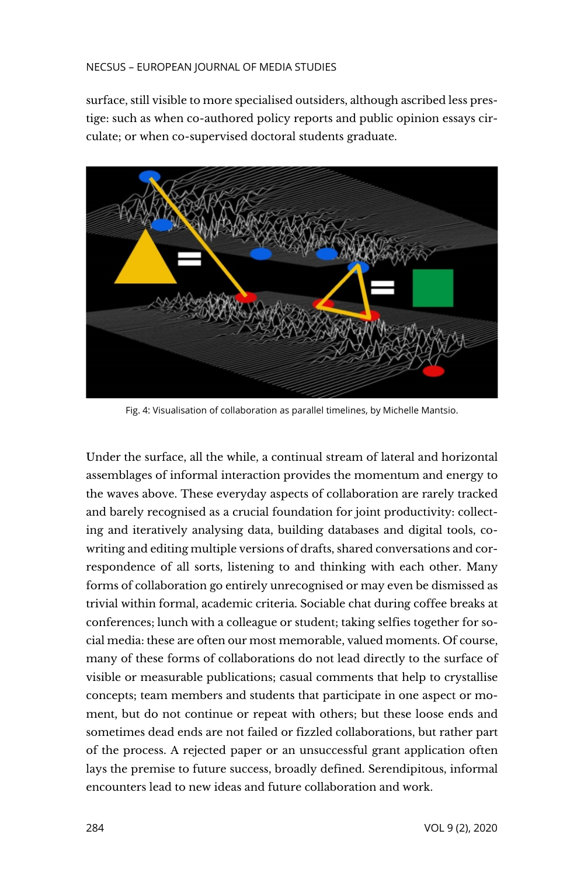surface, still visible to more specialised outsiders, although ascribed less prestige: such as when co-authored policy reports and public opinion essays circulate; or when co-supervised doctoral students graduate.



Fig. 4: Visualisation of collaboration as parallel timelines, by Michelle Mantsio.

Under the surface, all the while, a continual stream of lateral and horizontal assemblages of informal interaction provides the momentum and energy to the waves above. These everyday aspects of collaboration are rarely tracked and barely recognised as a crucial foundation for joint productivity: collecting and iteratively analysing data, building databases and digital tools, cowriting and editing multiple versions of drafts, shared conversations and correspondence of all sorts, listening to and thinking with each other. Many forms of collaboration go entirely unrecognised or may even be dismissed as trivial within formal, academic criteria. Sociable chat during coffee breaks at conferences; lunch with a colleague or student; taking selfies together for social media: these are often our most memorable, valued moments. Of course, many of these forms of collaborations do not lead directly to the surface of visible or measurable publications; casual comments that help to crystallise concepts; team members and students that participate in one aspect or moment, but do not continue or repeat with others; but these loose ends and sometimes dead ends are not failed or fizzled collaborations, but rather part of the process. A rejected paper or an unsuccessful grant application often lays the premise to future success, broadly defined. Serendipitous, informal encounters lead to new ideas and future collaboration and work.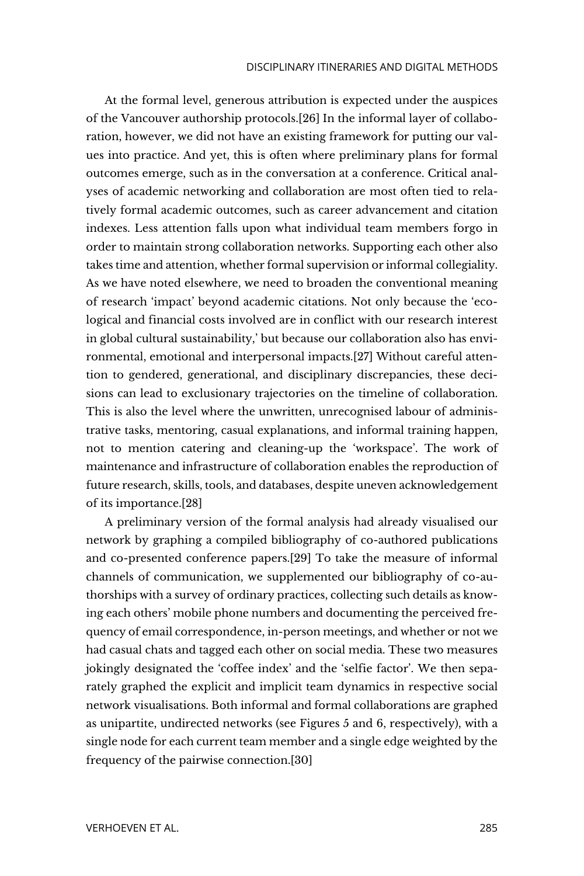At the formal level, generous attribution is expected under the auspices of the Vancouver authorship protocols.[26] In the informal layer of collaboration, however, we did not have an existing framework for putting our values into practice. And yet, this is often where preliminary plans for formal outcomes emerge, such as in the conversation at a conference. Critical analyses of academic networking and collaboration are most often tied to relatively formal academic outcomes, such as career advancement and citation indexes. Less attention falls upon what individual team members forgo in order to maintain strong collaboration networks. Supporting each other also takes time and attention, whether formal supervision or informal collegiality. As we have noted elsewhere, we need to broaden the conventional meaning of research 'impact' beyond academic citations. Not only because the 'ecological and financial costs involved are in conflict with our research interest in global cultural sustainability,' but because our collaboration also has environmental, emotional and interpersonal impacts.[27] Without careful attention to gendered, generational, and disciplinary discrepancies, these decisions can lead to exclusionary trajectories on the timeline of collaboration. This is also the level where the unwritten, unrecognised labour of administrative tasks, mentoring, casual explanations, and informal training happen, not to mention catering and cleaning-up the 'workspace'. The work of maintenance and infrastructure of collaboration enables the reproduction of future research, skills, tools, and databases, despite uneven acknowledgement of its importance.[28]

A preliminary version of the formal analysis had already visualised our network by graphing a compiled bibliography of co-authored publications and co-presented conference papers.[29] To take the measure of informal channels of communication, we supplemented our bibliography of co-authorships with a survey of ordinary practices, collecting such details as knowing each others' mobile phone numbers and documenting the perceived frequency of email correspondence, in-person meetings, and whether or not we had casual chats and tagged each other on social media. These two measures jokingly designated the 'coffee index' and the 'selfie factor'. We then separately graphed the explicit and implicit team dynamics in respective social network visualisations. Both informal and formal collaborations are graphed as unipartite, undirected networks (see Figures 5 and 6, respectively), with a single node for each current team member and a single edge weighted by the frequency of the pairwise connection.[30]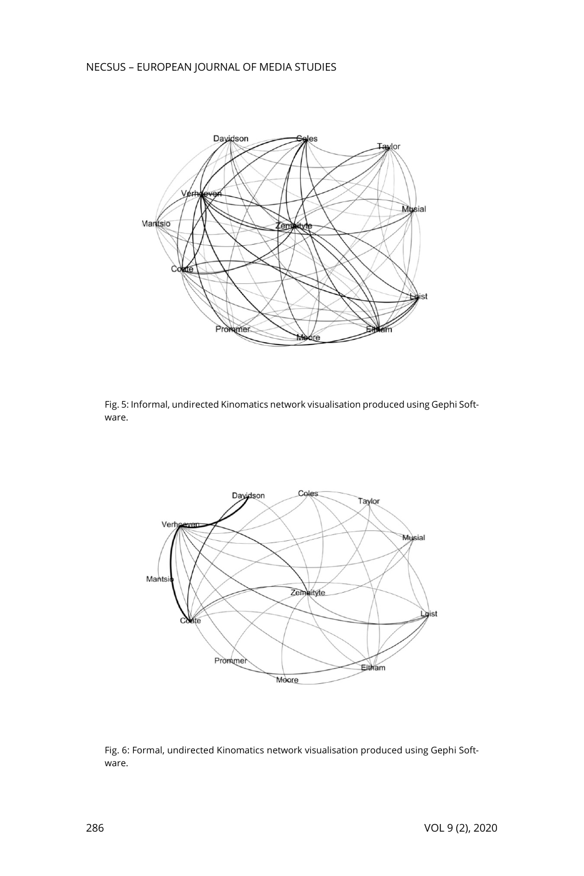

Fig. 5: Informal, undirected Kinomatics network visualisation produced using Gephi Software.



Fig. 6: Formal, undirected Kinomatics network visualisation produced using Gephi Software.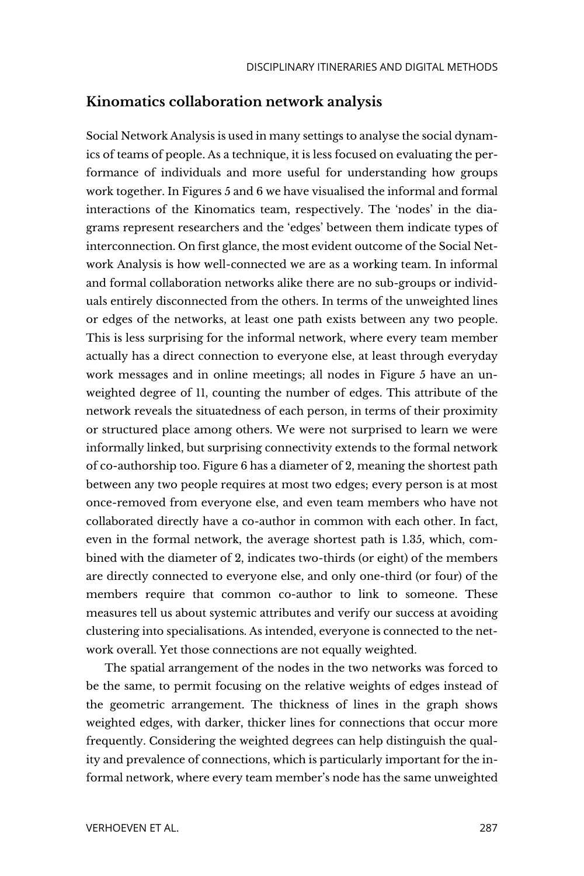### **Kinomatics collaboration network analysis**

Social Network Analysis is used in many settings to analyse the social dynamics of teams of people. As a technique, it is less focused on evaluating the performance of individuals and more useful for understanding how groups work together. In Figures 5 and 6 we have visualised the informal and formal interactions of the Kinomatics team, respectively. The 'nodes' in the diagrams represent researchers and the 'edges' between them indicate types of interconnection. On first glance, the most evident outcome of the Social Network Analysis is how well-connected we are as a working team. In informal and formal collaboration networks alike there are no sub-groups or individuals entirely disconnected from the others. In terms of the unweighted lines or edges of the networks, at least one path exists between any two people. This is less surprising for the informal network, where every team member actually has a direct connection to everyone else, at least through everyday work messages and in online meetings; all nodes in Figure 5 have an unweighted degree of 11, counting the number of edges. This attribute of the network reveals the situatedness of each person, in terms of their proximity or structured place among others. We were not surprised to learn we were informally linked, but surprising connectivity extends to the formal network of co-authorship too. Figure 6 has a diameter of 2, meaning the shortest path between any two people requires at most two edges; every person is at most once-removed from everyone else, and even team members who have not collaborated directly have a co-author in common with each other. In fact, even in the formal network, the average shortest path is 1.35, which, combined with the diameter of 2, indicates two-thirds (or eight) of the members are directly connected to everyone else, and only one-third (or four) of the members require that common co-author to link to someone. These measures tell us about systemic attributes and verify our success at avoiding clustering into specialisations. As intended, everyone is connected to the network overall. Yet those connections are not equally weighted.

The spatial arrangement of the nodes in the two networks was forced to be the same, to permit focusing on the relative weights of edges instead of the geometric arrangement. The thickness of lines in the graph shows weighted edges, with darker, thicker lines for connections that occur more frequently. Considering the weighted degrees can help distinguish the quality and prevalence of connections, which is particularly important for the informal network, where every team member's node has the same unweighted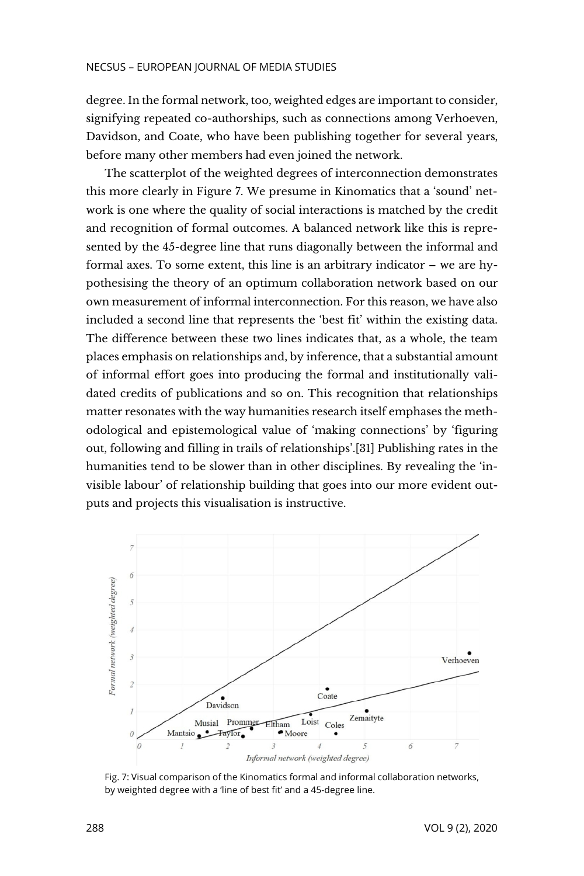degree. In the formal network, too, weighted edges are important to consider, signifying repeated co-authorships, such as connections among Verhoeven, Davidson, and Coate, who have been publishing together for several years, before many other members had even joined the network.

The scatterplot of the weighted degrees of interconnection demonstrates this more clearly in Figure 7. We presume in Kinomatics that a 'sound' network is one where the quality of social interactions is matched by the credit and recognition of formal outcomes. A balanced network like this is represented by the 45-degree line that runs diagonally between the informal and formal axes. To some extent, this line is an arbitrary indicator – we are hypothesising the theory of an optimum collaboration network based on our own measurement of informal interconnection. For this reason, we have also included a second line that represents the 'best fit' within the existing data. The difference between these two lines indicates that, as a whole, the team places emphasis on relationships and, by inference, that a substantial amount of informal effort goes into producing the formal and institutionally validated credits of publications and so on. This recognition that relationships matter resonates with the way humanities research itself emphases the methodological and epistemological value of 'making connections' by 'figuring out, following and filling in trails of relationships'.[31] Publishing rates in the humanities tend to be slower than in other disciplines. By revealing the 'invisible labour' of relationship building that goes into our more evident outputs and projects this visualisation is instructive.



Fig. 7: Visual comparison of the Kinomatics formal and informal collaboration networks, by weighted degree with a 'line of best fit' and a 45-degree line.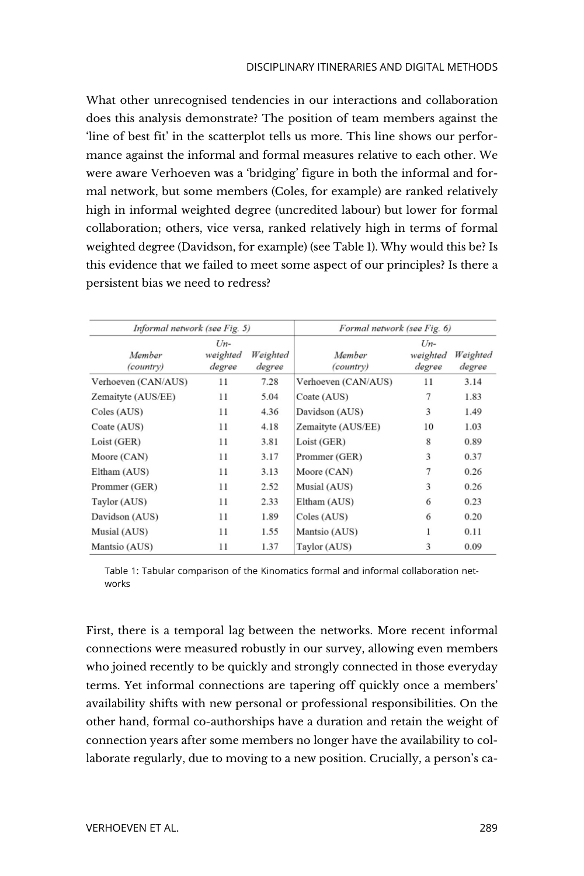What other unrecognised tendencies in our interactions and collaboration does this analysis demonstrate? The position of team members against the 'line of best fit' in the scatterplot tells us more. This line shows our performance against the informal and formal measures relative to each other. We were aware Verhoeven was a 'bridging' figure in both the informal and formal network, but some members (Coles, for example) are ranked relatively high in informal weighted degree (uncredited labour) but lower for formal collaboration; others, vice versa, ranked relatively high in terms of formal weighted degree (Davidson, for example) (see Table 1). Why would this be? Is this evidence that we failed to meet some aspect of our principles? Is there a persistent bias we need to redress?

| Informal network (see Fig. 5) |                                |                    | Formal network (see Fig. 6) |                             |                    |
|-------------------------------|--------------------------------|--------------------|-----------------------------|-----------------------------|--------------------|
| Member<br><i>(country)</i>    | $U_{n-}$<br>weighted<br>degree | Weighted<br>degree | Member<br><i>(country)</i>  | $Un-$<br>weighted<br>degree | Weighted<br>degree |
| Verhoeven (CAN/AUS)           | 11                             | 7.28               | Verhoeven (CAN/AUS)         | 11                          | 3.14               |
| Zemaityte (AUS/EE)            | 11                             | 5.04               | Coate (AUS)                 | 7                           | 1.83               |
| Coles (AUS)                   | 11                             | 4.36               | Davidson (AUS)              | 3                           | 1.49               |
| Coate (AUS)                   | 11                             | 4.18               | Zemaityte (AUS/EE)          | 10                          | 1.03               |
| Loist (GER)                   | 11                             | 3.81               | Loist (GER)                 | 8                           | 0.89               |
| Moore (CAN)                   | 11                             | 3.17               | Prommer (GER)               | 3                           | 0.37               |
| Eltham (AUS)                  | 11                             | 3.13               | Moore (CAN)                 | 7                           | 0.26               |
| Prommer (GER)                 | 11                             | 2.52               | Musial (AUS)                | 3                           | 0.26               |
| Taylor (AUS)                  | 11                             | 2.33               | Eltham (AUS)                | 6                           | 0.23               |
| Davidson (AUS)                | 11                             | 1.89               | Coles (AUS)                 | 6                           | 0.20               |
| Musial (AUS)                  | 11                             | 1.55               | Mantsio (AUS)               | 1                           | 0.11               |
| Mantsio (AUS)                 | 11                             | 1.37               | Taylor (AUS)                | 3                           | 0.09               |

Table 1: Tabular comparison of the Kinomatics formal and informal collaboration networks

First, there is a temporal lag between the networks. More recent informal connections were measured robustly in our survey, allowing even members who joined recently to be quickly and strongly connected in those everyday terms. Yet informal connections are tapering off quickly once a members' availability shifts with new personal or professional responsibilities. On the other hand, formal co-authorships have a duration and retain the weight of connection years after some members no longer have the availability to collaborate regularly, due to moving to a new position. Crucially, a person's ca-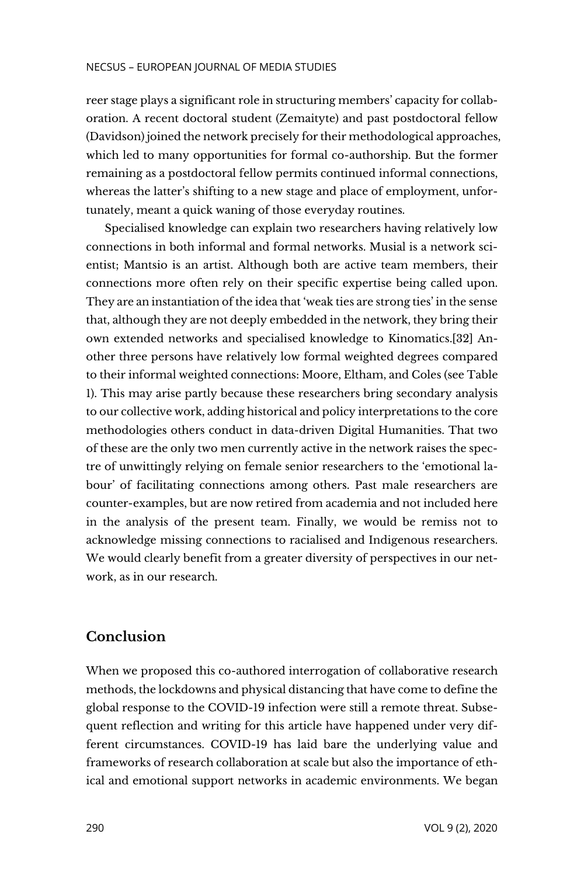reer stage plays a significant role in structuring members' capacity for collaboration. A recent doctoral student (Zemaityte) and past postdoctoral fellow (Davidson) joined the network precisely for their methodological approaches, which led to many opportunities for formal co-authorship. But the former remaining as a postdoctoral fellow permits continued informal connections, whereas the latter's shifting to a new stage and place of employment, unfortunately, meant a quick waning of those everyday routines.

Specialised knowledge can explain two researchers having relatively low connections in both informal and formal networks. Musial is a network scientist; Mantsio is an artist. Although both are active team members, their connections more often rely on their specific expertise being called upon. They are an instantiation of the idea that 'weak ties are strong ties' in the sense that, although they are not deeply embedded in the network, they bring their own extended networks and specialised knowledge to Kinomatics.[32] Another three persons have relatively low formal weighted degrees compared to their informal weighted connections: Moore, Eltham, and Coles (see Table 1). This may arise partly because these researchers bring secondary analysis to our collective work, adding historical and policy interpretations to the core methodologies others conduct in data-driven Digital Humanities. That two of these are the only two men currently active in the network raises the spectre of unwittingly relying on female senior researchers to the 'emotional labour' of facilitating connections among others. Past male researchers are counter-examples, but are now retired from academia and not included here in the analysis of the present team. Finally, we would be remiss not to acknowledge missing connections to racialised and Indigenous researchers. We would clearly benefit from a greater diversity of perspectives in our network, as in our research.

# **Conclusion**

When we proposed this co-authored interrogation of collaborative research methods, the lockdowns and physical distancing that have come to define the global response to the COVID-19 infection were still a remote threat. Subsequent reflection and writing for this article have happened under very different circumstances. COVID-19 has laid bare the underlying value and frameworks of research collaboration at scale but also the importance of ethical and emotional support networks in academic environments. We began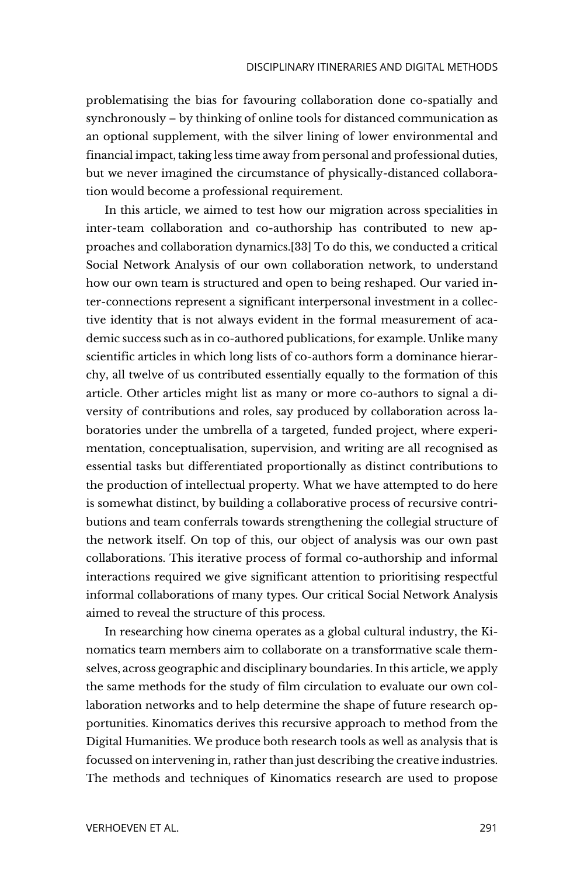problematising the bias for favouring collaboration done co-spatially and synchronously – by thinking of online tools for distanced communication as an optional supplement, with the silver lining of lower environmental and financial impact, taking less time away from personal and professional duties, but we never imagined the circumstance of physically-distanced collaboration would become a professional requirement.

In this article, we aimed to test how our migration across specialities in inter-team collaboration and co-authorship has contributed to new approaches and collaboration dynamics.[33] To do this, we conducted a critical Social Network Analysis of our own collaboration network, to understand how our own team is structured and open to being reshaped. Our varied inter-connections represent a significant interpersonal investment in a collective identity that is not always evident in the formal measurement of academic success such as in co-authored publications, for example. Unlike many scientific articles in which long lists of co-authors form a dominance hierarchy, all twelve of us contributed essentially equally to the formation of this article. Other articles might list as many or more co-authors to signal a diversity of contributions and roles, say produced by collaboration across laboratories under the umbrella of a targeted, funded project, where experimentation, conceptualisation, supervision, and writing are all recognised as essential tasks but differentiated proportionally as distinct contributions to the production of intellectual property. What we have attempted to do here is somewhat distinct, by building a collaborative process of recursive contributions and team conferrals towards strengthening the collegial structure of the network itself. On top of this, our object of analysis was our own past collaborations. This iterative process of formal co-authorship and informal interactions required we give significant attention to prioritising respectful informal collaborations of many types. Our critical Social Network Analysis aimed to reveal the structure of this process.

In researching how cinema operates as a global cultural industry, the Kinomatics team members aim to collaborate on a transformative scale themselves, across geographic and disciplinary boundaries. In this article, we apply the same methods for the study of film circulation to evaluate our own collaboration networks and to help determine the shape of future research opportunities. Kinomatics derives this recursive approach to method from the Digital Humanities. We produce both research tools as well as analysis that is focussed on intervening in, rather than just describing the creative industries. The methods and techniques of Kinomatics research are used to propose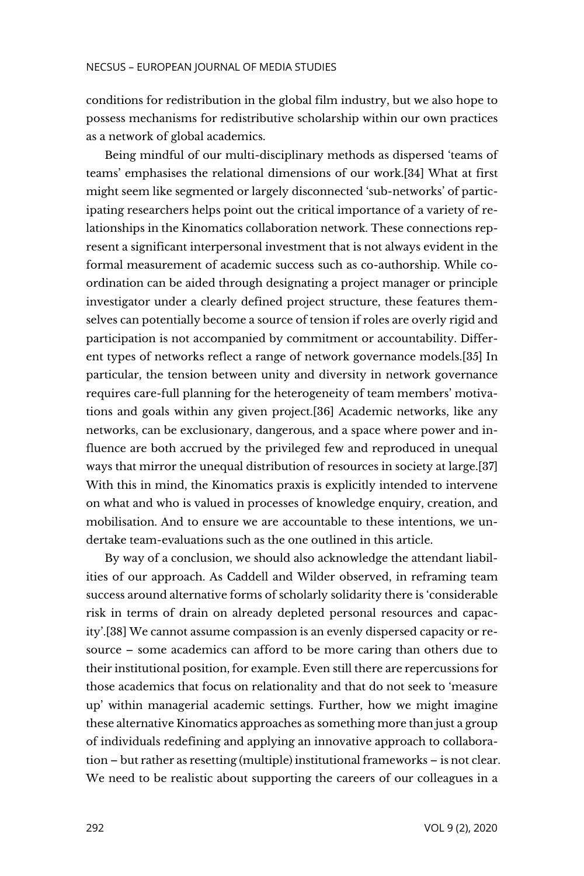conditions for redistribution in the global film industry, but we also hope to possess mechanisms for redistributive scholarship within our own practices as a network of global academics.

Being mindful of our multi-disciplinary methods as dispersed 'teams of teams' emphasises the relational dimensions of our work.[34] What at first might seem like segmented or largely disconnected 'sub-networks' of participating researchers helps point out the critical importance of a variety of relationships in the Kinomatics collaboration network. These connections represent a significant interpersonal investment that is not always evident in the formal measurement of academic success such as co-authorship. While coordination can be aided through designating a project manager or principle investigator under a clearly defined project structure, these features themselves can potentially become a source of tension if roles are overly rigid and participation is not accompanied by commitment or accountability. Different types of networks reflect a range of network governance models.[35] In particular, the tension between unity and diversity in network governance requires care-full planning for the heterogeneity of team members' motivations and goals within any given project.[36] Academic networks, like any networks, can be exclusionary, dangerous, and a space where power and influence are both accrued by the privileged few and reproduced in unequal ways that mirror the unequal distribution of resources in society at large.[37] With this in mind, the Kinomatics praxis is explicitly intended to intervene on what and who is valued in processes of knowledge enquiry, creation, and mobilisation. And to ensure we are accountable to these intentions, we undertake team-evaluations such as the one outlined in this article.

By way of a conclusion, we should also acknowledge the attendant liabilities of our approach. As Caddell and Wilder observed, in reframing team success around alternative forms of scholarly solidarity there is 'considerable risk in terms of drain on already depleted personal resources and capacity'.[38] We cannot assume compassion is an evenly dispersed capacity or resource – some academics can afford to be more caring than others due to their institutional position, for example. Even still there are repercussions for those academics that focus on relationality and that do not seek to 'measure up' within managerial academic settings. Further, how we might imagine these alternative Kinomatics approaches as something more than just a group of individuals redefining and applying an innovative approach to collaboration – but rather as resetting (multiple) institutional frameworks – is not clear. We need to be realistic about supporting the careers of our colleagues in a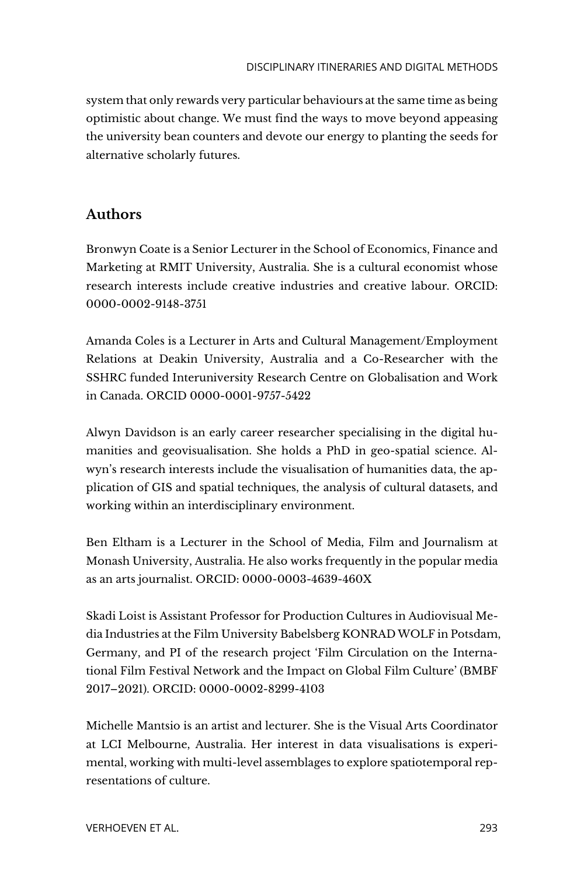system that only rewards very particular behaviours at the same time as being optimistic about change. We must find the ways to move beyond appeasing the university bean counters and devote our energy to planting the seeds for alternative scholarly futures.

# **Authors**

Bronwyn Coate is a Senior Lecturer in the School of Economics, Finance and Marketing at RMIT University, Australia. She is a cultural economist whose research interests include creative industries and creative labour. ORCID: 0000-0002-9148-3751

Amanda Coles is a Lecturer in Arts and Cultural Management/Employment Relations at Deakin University, Australia and a Co-Researcher with the SSHRC funded Interuniversity Research Centre on Globalisation and Work in Canada. ORCID 0000-0001-9757-5422

Alwyn Davidson is an early career researcher specialising in the digital humanities and geovisualisation. She holds a PhD in geo-spatial science. Alwyn's research interests include the visualisation of humanities data, the application of GIS and spatial techniques, the analysis of cultural datasets, and working within an interdisciplinary environment.

Ben Eltham is a Lecturer in the School of Media, Film and Journalism at Monash University, Australia. He also works frequently in the popular media as an arts journalist. ORCID: 0000-0003-4639-460X

Skadi Loist is Assistant Professor for Production Cultures in Audiovisual Media Industries at the Film University Babelsberg KONRAD WOLF in Potsdam, Germany, and PI of the research project 'Film Circulation on the International Film Festival Network and the Impact on Global Film Culture' (BMBF 2017–2021). ORCID: 0000-0002-8299-4103

Michelle Mantsio is an artist and lecturer. She is the Visual Arts Coordinator at LCI Melbourne, Australia. Her interest in data visualisations is experimental, working with multi-level assemblages to explore spatiotemporal representations of culture.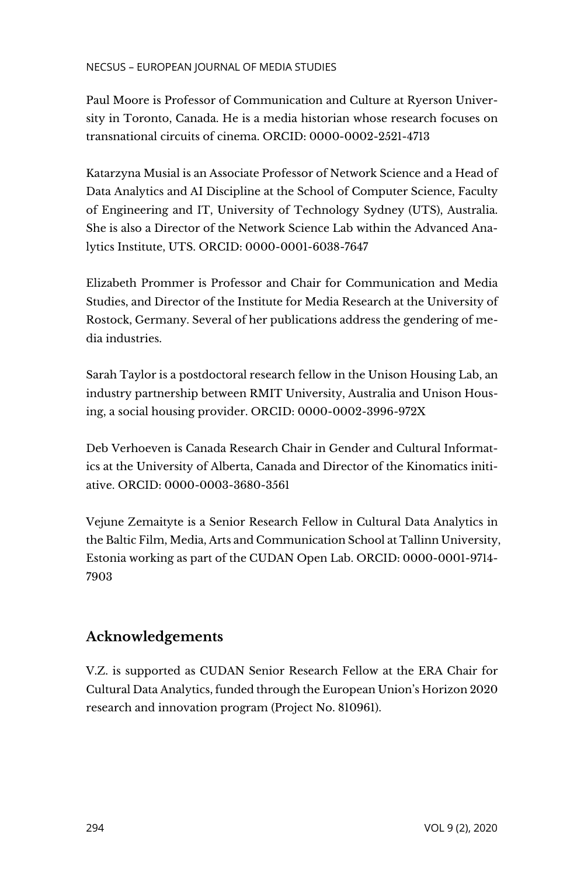Paul Moore is Professor of Communication and Culture at Ryerson University in Toronto, Canada. He is a media historian whose research focuses on transnational circuits of cinema. ORCID: 0000-0002-2521-4713

Katarzyna Musial is an Associate Professor of Network Science and a Head of Data Analytics and AI Discipline at the School of Computer Science, Faculty of Engineering and IT, University of Technology Sydney (UTS), Australia. She is also a Director of the Network Science Lab within the Advanced Analytics Institute, UTS. ORCID: 0000-0001-6038-7647

Elizabeth Prommer is Professor and Chair for Communication and Media Studies, and Director of the Institute for Media Research at the University of Rostock, Germany. Several of her publications address the gendering of media industries.

Sarah Taylor is a postdoctoral research fellow in the Unison Housing Lab, an industry partnership between RMIT University, Australia and Unison Housing, a social housing provider. ORCID: 0000-0002-3996-972X

Deb Verhoeven is Canada Research Chair in Gender and Cultural Informatics at the University of Alberta, Canada and Director of the Kinomatics initiative. ORCID: 0000-0003-3680-3561

Vejune Zemaityte is a Senior Research Fellow in Cultural Data Analytics in the Baltic Film, Media, Arts and Communication School at Tallinn University, Estonia working as part of the CUDAN Open Lab. ORCID: 0000-0001-9714- 7903

# **Acknowledgements**

V.Z. is supported as CUDAN Senior Research Fellow at the ERA Chair for Cultural Data Analytics, funded through the European Union's Horizon 2020 research and innovation program (Project No. 810961).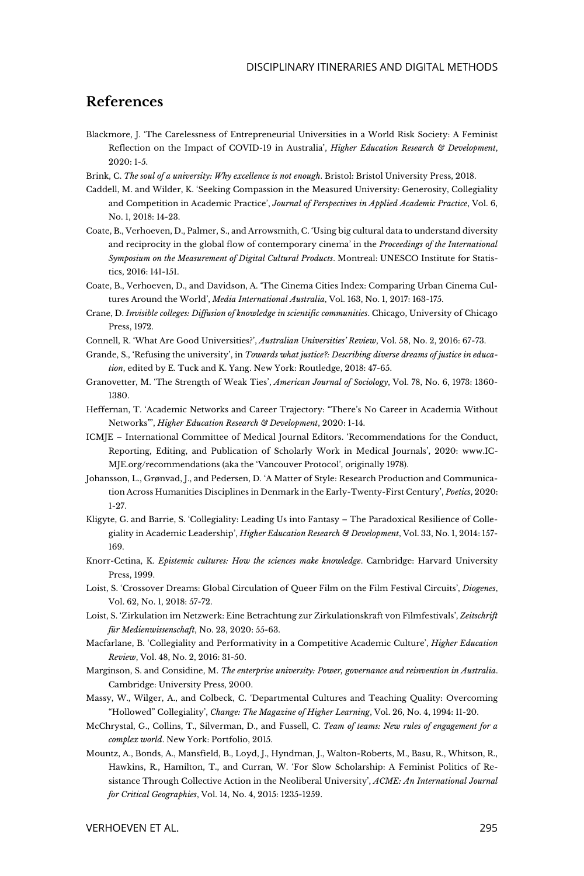### **References**

- Blackmore, J. 'The Carelessness of Entrepreneurial Universities in a World Risk Society: A Feminist Reflection on the Impact of COVID-19 in Australia', *Higher Education Research & Development*, 2020: 1-5.
- Brink, C. *The soul of a university: Why excellence is not enough*. Bristol: Bristol University Press, 2018.
- Caddell, M. and Wilder, K. 'Seeking Compassion in the Measured University: Generosity, Collegiality and Competition in Academic Practice', *Journal of Perspectives in Applied Academic Practice*, Vol. 6, No. 1, 2018: 14-23.
- Coate, B., Verhoeven, D., Palmer, S., and Arrowsmith, C. 'Using big cultural data to understand diversity and reciprocity in the global flow of contemporary cinema' in the *Proceedings of the International Symposium on the Measurement of Digital Cultural Products*. Montreal: UNESCO Institute for Statistics, 2016: 141-151.
- Coate, B., Verhoeven, D., and Davidson, A. 'The Cinema Cities Index: Comparing Urban Cinema Cultures Around the World', *Media International Australia*, Vol. 163, No. 1, 2017: 163-175.
- Crane, D. *Invisible colleges: Diffusion of knowledge in scientific communities*. Chicago, University of Chicago Press, 1972.
- Connell, R. 'What Are Good Universities?', *Australian Universities' Review*, Vol. 58, No. 2, 2016: 67-73.
- Grande, S., 'Refusing the university', in *Towards what justice?: Describing diverse dreams of justice in education*, edited by E. Tuck and K. Yang. New York: Routledge, 2018: 47-65.
- Granovetter, M. 'The Strength of Weak Ties', *American Journal of Sociology*, Vol. 78, No. 6, 1973: 1360- 1380.
- Heffernan, T. 'Academic Networks and Career Trajectory: "There's No Career in Academia Without Networks"', *Higher Education Research & Development*, 2020: 1-14.
- ICMJE International Committee of Medical Journal Editors. 'Recommendations for the Conduct, Reporting, Editing, and Publication of Scholarly Work in Medical Journals', 2020: [www.IC-](http://www.icmje.org/recommendations)[MJE.org/recommendations](http://www.icmje.org/recommendations) (aka the 'Vancouver Protocol', originally 1978).
- Johansson, L., Grønvad, J., and Pedersen, D. 'A Matter of Style: Research Production and Communication Across Humanities Disciplines in Denmark in the Early-Twenty-First Century', *Poetics*, 2020: 1-27.
- Kligyte, G. and Barrie, S. 'Collegiality: Leading Us into Fantasy The Paradoxical Resilience of Collegiality in Academic Leadership', *Higher Education Research & Development*, Vol. 33, No. 1, 2014: 157- 169.
- Knorr-Cetina, K. *Epistemic cultures: How the sciences make knowledge*. Cambridge: Harvard University Press, 1999.
- Loist, S. 'Crossover Dreams: Global Circulation of Queer Film on the Film Festival Circuits', *Diogenes*, Vol. 62, No. 1, 2018: 57-72.
- Loist, S. 'Zirkulation im Netzwerk: Eine Betrachtung zur Zirkulationskraft von Filmfestivals', *Zeitschrift für Medienwissenschaft*, No. 23, 2020: 55-63.
- Macfarlane, B. 'Collegiality and Performativity in a Competitive Academic Culture', *Higher Education Review*, Vol. 48, No. 2, 2016: 31-50.
- Marginson, S. and Considine, M. *The enterprise university: Power, governance and reinvention in Australia*. Cambridge: University Press, 2000.
- Massy, W., Wilger, A., and Colbeck, C. 'Departmental Cultures and Teaching Quality: Overcoming "Hollowed" Collegiality', *Change: The Magazine of Higher Learning*, Vol. 26, No. 4, 1994: 11-20.
- McChrystal, G., Collins, T., Silverman, D., and Fussell, C. *Team of teams: New rules of engagement for a complex world*. New York: Portfolio, 2015.
- Mountz, A., Bonds, A., Mansfield, B., Loyd, J., Hyndman, J., Walton-Roberts, M., Basu, R., Whitson, R., Hawkins, R., Hamilton, T., and Curran, W. 'For Slow Scholarship: A Feminist Politics of Resistance Through Collective Action in the Neoliberal University', *ACME: An International Journal for Critical Geographies*, Vol. 14, No. 4, 2015: 1235-1259.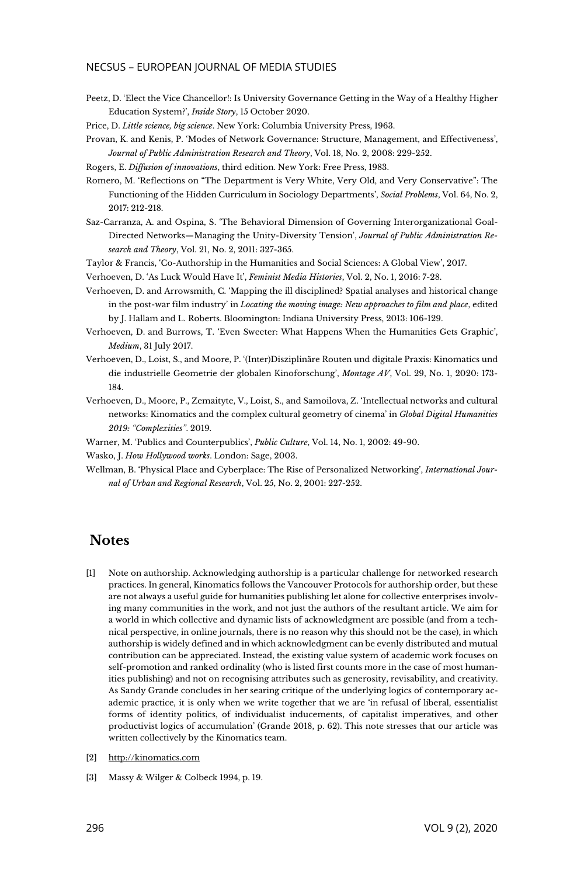Peetz, D. 'Elect the Vice Chancellor!: Is University Governance Getting in the Way of a Healthy Higher Education System?', *Inside Story*, 15 October 2020.

Price, D. *Little science, big science*. New York: Columbia University Press, 1963.

Provan, K. and Kenis, P. 'Modes of Network Governance: Structure, Management, and Effectiveness', *Journal of Public Administration Research and Theory*, Vol. 18, No. 2, 2008: 229-252.

Rogers, E. *Diffusion of innovations*, third edition. New York: Free Press, 1983.

- Romero, M. 'Reflections on "The Department is Very White, Very Old, and Very Conservative": The Functioning of the Hidden Curriculum in Sociology Departments', *Social Problems*, Vol. 64, No. 2, 2017: 212-218.
- Saz-Carranza, A. and Ospina, S. 'The Behavioral Dimension of Governing Interorganizational Goal-Directed Networks—Managing the Unity-Diversity Tension', *Journal of Public Administration Research and Theory*, Vol. 21, No. 2, 2011: 327-365.
- Taylor & Francis, 'Co-Authorship in the Humanities and Social Sciences: A Global View', 2017.
- Verhoeven, D. ['As Luck Would Have It',](https://doi.org/10.1525/fmh.2016.2.1.7) *Feminist Media Histories*, Vol. 2, No. 1, 2016: 7-28.
- Verhoeven, D. and Arrowsmith, C. 'Mapping the ill disciplined? Spatial analyses and historical change in the post-war film industry' in *Locating the moving image: New approaches to film and place*, edited by J. Hallam and L. Roberts. Bloomington: Indiana University Press, 2013: 106-129.
- Verhoeven, D. and Burrows, T. 'Even Sweeter: What Happens When the Humanities Gets Graphic', *Medium*, 31 July 2017.
- Verhoeven, D., Loist, S., and Moore, P. '(Inter)Disziplinäre Routen und digitale Praxis: Kinomatics und die industrielle Geometrie der globalen Kinoforschung', *Montage AV*, Vol. 29, No. 1, 2020: 173- 184.
- Verhoeven, D., Moore, P., Zemaityte, V., Loist, S., and Samoilova, Z. 'Intellectual networks and cultural networks: Kinomatics and the complex cultural geometry of cinema' in *Global Digital Humanities 2019: "Complexities"*. 2019.

Warner, M. 'Publics and Counterpublics', *Public Culture*, Vol. 14, No. 1, 2002: 49-90.

Wasko, J. *How Hollywood works*. London: Sage, 2003.

Wellman, B. 'Physical Place and Cyberplace: The Rise of Personalized Networking', *International Journal of Urban and Regional Research*, Vol. 25, No. 2, 2001: 227-252.

# **Notes**

- [1] Note on authorship. Acknowledging authorship is a particular challenge for networked research practices. In general, Kinomatics follows the Vancouver Protocols for authorship order, but these are not always a useful guide for humanities publishing let alone for collective enterprises involving many communities in the work, and not just the authors of the resultant article. We aim for a world in which collective and dynamic lists of acknowledgment are possible (and from a technical perspective, in online journals, there is no reason why this should not be the case), in which authorship is widely defined and in which acknowledgment can be evenly distributed and mutual contribution can be appreciated. Instead, the existing value system of academic work focuses on self-promotion and ranked ordinality (who is listed first counts more in the case of most humanities publishing) and not on recognising attributes such as generosity, revisability, and creativity. As Sandy Grande concludes in her searing critique of the underlying logics of contemporary academic practice, it is only when we write together that we are 'in refusal of liberal, essentialist forms of identity politics, of individualist inducements, of capitalist imperatives, and other productivist logics of accumulation' (Grande 2018, p. 62). This note stresses that our article was written collectively by the Kinomatics team.
- [2] [http://kinomatics.com](http://kinomatics.com/)
- [3] Massy & Wilger & Colbeck 1994, p. 19.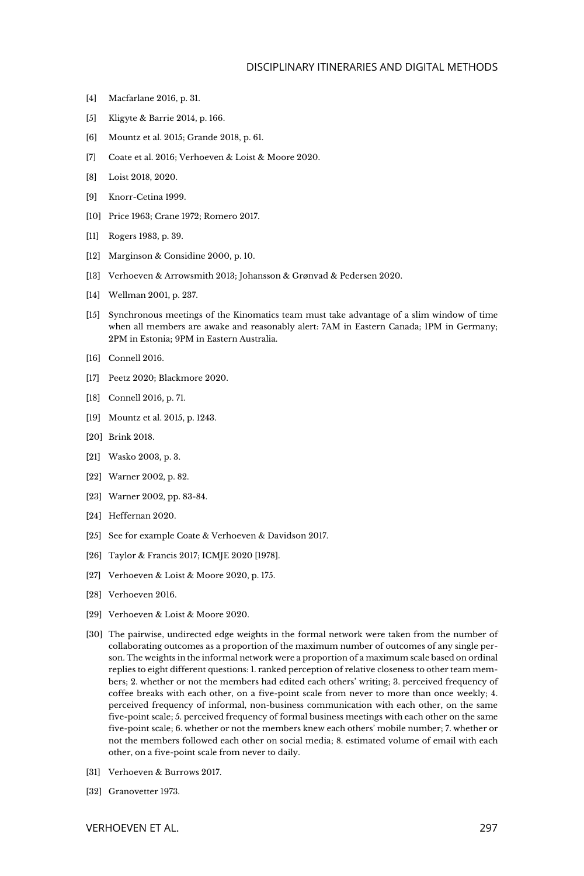#### DISCIPLINARY ITINERARIES AND DIGITAL METHODS

- [4] Macfarlane 2016, p. 31.
- [5] Kligyte & Barrie 2014, p. 166.
- [6] Mountz et al. 2015; Grande 2018, p. 61.
- [7] Coate et al. 2016; Verhoeven & Loist & Moore 2020.
- [8] Loist 2018, 2020.
- [9] Knorr-Cetina 1999.
- [10] Price 1963: Crane 1972: Romero 2017.
- [11] Rogers 1983, p. 39.
- [12] Marginson & Considine 2000, p. 10.
- [13] Verhoeven & Arrowsmith 2013; Johansson & Grønvad & Pedersen 2020.
- [14] Wellman 2001, p. 237.
- [15] Synchronous meetings of the Kinomatics team must take advantage of a slim window of time when all members are awake and reasonably alert: 7AM in Eastern Canada; 1PM in Germany; 2PM in Estonia; 9PM in Eastern Australia.
- [16] Connell 2016.
- [17] Peetz 2020; Blackmore 2020.
- [18] Connell 2016, p. 71.
- [19] Mountz et al. 2015, p. 1243.
- [20] Brink 2018.
- [21] Wasko 2003, p. 3.
- [22] Warner 2002, p. 82.
- [23] Warner 2002, pp. 83-84.
- [24] Heffernan 2020.
- [25] See for example Coate & Verhoeven & Davidson 2017.
- [26] Taylor & Francis 2017; ICMJE 2020 [1978].
- [27] Verhoeven & Loist & Moore 2020, p. 175.
- [28] Verhoeven 2016.
- [29] Verhoeven & Loist & Moore 2020.
- [30] The pairwise, undirected edge weights in the formal network were taken from the number of collaborating outcomes as a proportion of the maximum number of outcomes of any single person. The weights in the informal network were a proportion of a maximum scale based on ordinal replies to eight different questions: 1. ranked perception of relative closeness to other team members; 2. whether or not the members had edited each others' writing; 3. perceived frequency of coffee breaks with each other, on a five-point scale from never to more than once weekly; 4. perceived frequency of informal, non-business communication with each other, on the same five-point scale; 5. perceived frequency of formal business meetings with each other on the same five-point scale; 6. whether or not the members knew each others' mobile number; 7. whether or not the members followed each other on social media; 8. estimated volume of email with each other, on a five-point scale from never to daily.
- [31] Verhoeven & Burrows 2017.
- [32] Granovetter 1973.